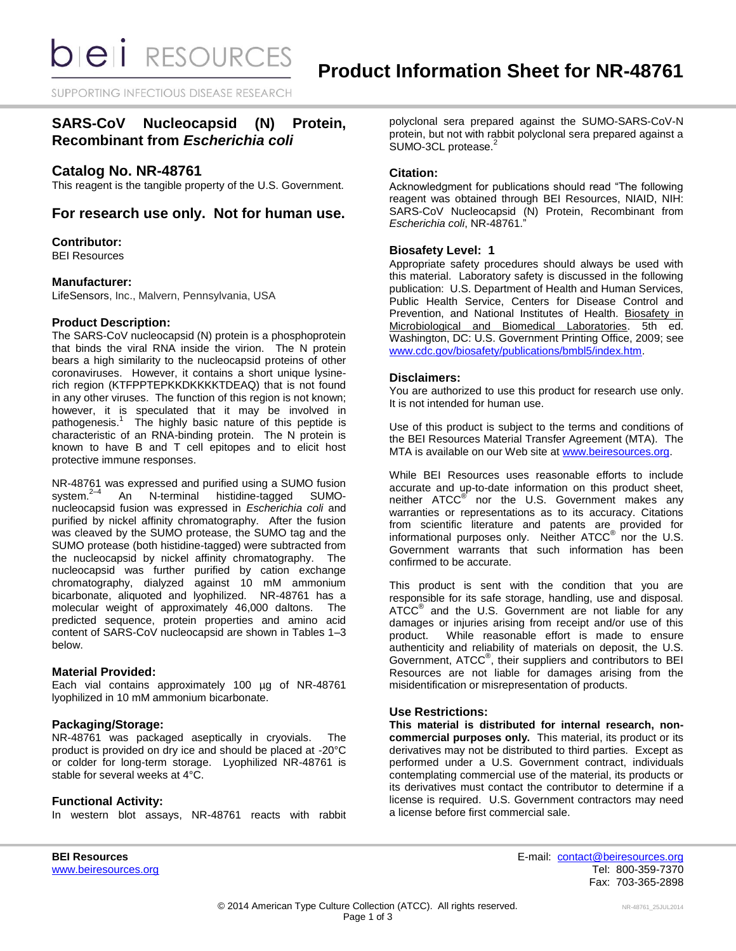**bieli** RESOURCES

SUPPORTING INFECTIOUS DISEASE RESEARCH

# **SARS-CoV Nucleocapsid (N) Protein, Recombinant from** *Escherichia coli*

# **Catalog No. NR-48761**

This reagent is the tangible property of the U.S. Government.

# **For research use only. Not for human use.**

# **Contributor:**

BEI Resources

# **Manufacturer:**

LifeSensors, Inc., Malvern, Pennsylvania, USA

# **Product Description:**

The SARS-CoV nucleocapsid (N) protein is a phosphoprotein that binds the viral RNA inside the virion. The N protein bears a high similarity to the nucleocapsid proteins of other coronaviruses. However, it contains a short unique lysinerich region (KTFPPTEPKKDKKKKTDEAQ) that is not found in any other viruses. The function of this region is not known; however, it is speculated that it may be involved in pathogenesis.<sup>1</sup> The highly basic nature of this peptide is characteristic of an RNA-binding protein. The N protein is known to have B and T cell epitopes and to elicit host protective immune responses.

NR-48761 was expressed and purified using a SUMO fusion system. 2–4 An N-terminal histidine-tagged SUMOnucleocapsid fusion was expressed in *Escherichia coli* and purified by nickel affinity chromatography. After the fusion was cleaved by the SUMO protease, the SUMO tag and the SUMO protease (both histidine-tagged) were subtracted from the nucleocapsid by nickel affinity chromatography. The nucleocapsid was further purified by cation exchange chromatography, dialyzed against 10 mM ammonium bicarbonate, aliquoted and lyophilized. NR-48761 has a molecular weight of approximately 46,000 daltons. The predicted sequence, protein properties and amino acid content of SARS-CoV nucleocapsid are shown in Tables 1–3 below.

#### **Material Provided:**

Each vial contains approximately 100 µg of NR-48761 lyophilized in 10 mM ammonium bicarbonate.

# **Packaging/Storage:**

NR-48761 was packaged aseptically in cryovials. The product is provided on dry ice and should be placed at -20°C or colder for long-term storage. Lyophilized NR-48761 is stable for several weeks at 4°C.

# **Functional Activity:**

In western blot assays, NR-48761 reacts with rabbit

polyclonal sera prepared against the SUMO-SARS-CoV-N protein, but not with rabbit polyclonal sera prepared against a SUMO-3CL protease.<sup>2</sup>

## **Citation:**

Acknowledgment for publications should read "The following reagent was obtained through BEI Resources, NIAID, NIH: SARS-CoV Nucleocapsid (N) Protein, Recombinant from *Escherichia coli*, NR-48761."

# **Biosafety Level: 1**

Appropriate safety procedures should always be used with this material. Laboratory safety is discussed in the following publication: U.S. Department of Health and Human Services, Public Health Service, Centers for Disease Control and Prevention, and National Institutes of Health. Biosafety in Microbiological and Biomedical Laboratories. 5th ed. Washington, DC: U.S. Government Printing Office, 2009; see [www.cdc.gov/biosafety/publications/bmbl5/index.htm.](http://www.cdc.gov/biosafety/publications/bmbl5/index.htm)

# **Disclaimers:**

You are authorized to use this product for research use only. It is not intended for human use.

Use of this product is subject to the terms and conditions of the BEI Resources Material Transfer Agreement (MTA). The MTA is available on our Web site at [www.beiresources.org.](http://www.beiresources.org/)

While BEI Resources uses reasonable efforts to include accurate and up-to-date information on this product sheet, neither ATCC<sup>®</sup> nor the U.S. Government makes any warranties or representations as to its accuracy. Citations from scientific literature and patents are provided for informational purposes only. Neither  $\tt{ATCC}^{\circledR}$  nor the U.S. Government warrants that such information has been confirmed to be accurate.

This product is sent with the condition that you are responsible for its safe storage, handling, use and disposal. ATCC<sup>®</sup> and the U.S. Government are not liable for any damages or injuries arising from receipt and/or use of this product. While reasonable effort is made to ensure While reasonable effort is made to ensure authenticity and reliability of materials on deposit, the U.S. Government, ATCC® , their suppliers and contributors to BEI Resources are not liable for damages arising from the misidentification or misrepresentation of products.

## **Use Restrictions:**

**This material is distributed for internal research, noncommercial purposes only.** This material, its product or its derivatives may not be distributed to third parties. Except as performed under a U.S. Government contract, individuals contemplating commercial use of the material, its products or its derivatives must contact the contributor to determine if a license is required. U.S. Government contractors may need a license before first commercial sale.

**BEI Resources** E-mail: [contact@beiresources.org](mailto:contact@beiresources.org) [www.beiresources.org](http://www.beiresources.org/) **Tel: 800-359-7370** Fax: 703-365-2898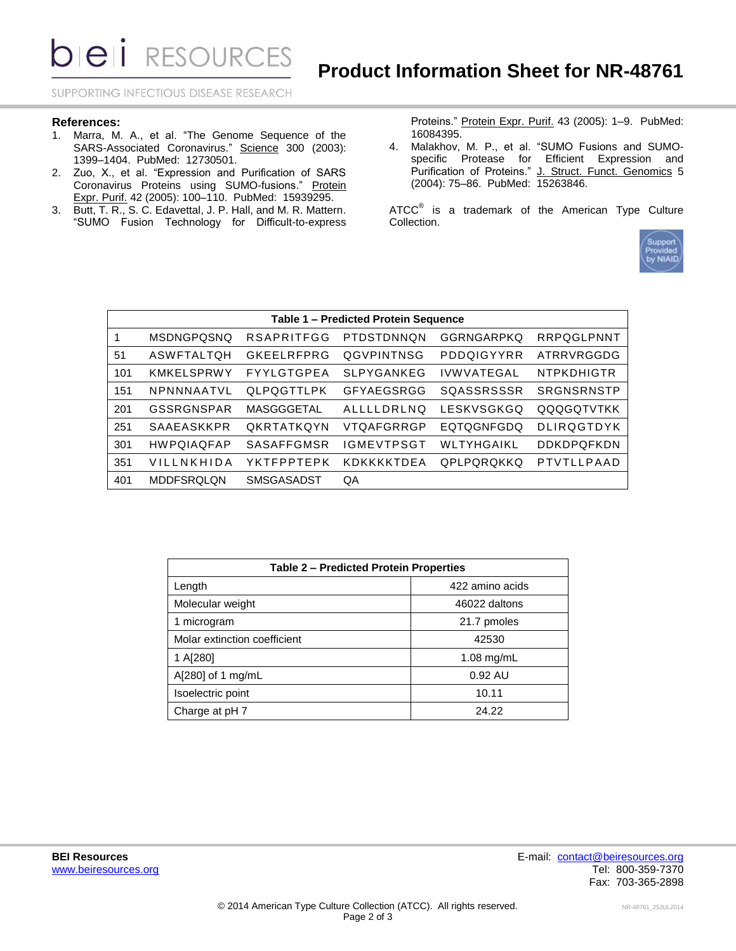**DIEII** RESOURCES

SUPPORTING INFECTIOUS DISEASE RESEARCH

#### **References:**

- 1. Marra, M. A., et al. "The Genome Sequence of the SARS-Associated Coronavirus." Science 300 (2003): 1399–1404. PubMed: 12730501.
- 2. Zuo, X., et al. "Expression and Purification of SARS Coronavirus Proteins using SUMO-fusions." Protein Expr. Purif. 42 (2005): 100–110. PubMed: 15939295.
- 3. Butt, T. R., S. C. Edavettal, J. P. Hall, and M. R. Mattern. "SUMO Fusion Technology for Difficult-to-express

Proteins." Protein Expr. Purif. 43 (2005): 1–9. PubMed: 16084395.

4. Malakhov, M. P., et al. "SUMO Fusions and SUMOspecific Protease for Efficient Expression and Purification of Proteins." J. Struct. Funct. Genomics 5 (2004): 75–86. PubMed: 15263846.

ATCC $^{\circ}$  is a trademark of the American Type Culture Collection.



| Table 1 - Predicted Protein Sequence |                   |                   |                   |                   |                   |  |  |  |
|--------------------------------------|-------------------|-------------------|-------------------|-------------------|-------------------|--|--|--|
| 1                                    | <b>MSDNGPQSNQ</b> | <b>RSAPRITFGG</b> | PTDSTDNNON        | <b>GGRNGARPKO</b> | RRPOGLPNNT        |  |  |  |
| 51                                   | ASWFTALTQH        | <b>GKEELRFPRG</b> | QGVPINTNSG        | PDDQIGYYRR        | ATRRVRGGDG        |  |  |  |
| 101                                  | <b>KMKELSPRWY</b> | FYYLGTGPEA        | <b>SLPYGANKEG</b> | <b>IVWVATEGAL</b> | <b>NTPKDHIGTR</b> |  |  |  |
| 151                                  | NPNNNAATVL        | QLPQGTTLPK        | GFYAEGSRGG        | SOASSRSSSR        | SRGNSRNSTP        |  |  |  |
| 201                                  | GSSRGNSPAR        | MASGGGETAL        | ALLLLDRLNQ        | LESKVSGKGQ        | QQQGQTVTKK        |  |  |  |
| 251                                  | <b>SAAEASKKPR</b> | <b>OKRTATKOYN</b> | VTQAFGRRGP        | <b>EQTOGNFGDQ</b> | <b>DLIRQGTDYK</b> |  |  |  |
| 301                                  | <b>HWPQIAQFAP</b> | <b>SASAFFGMSR</b> | <b>IGMEVTPSGT</b> | WLTYHGAIKL        | DDKDPQFKDN        |  |  |  |
| 351                                  | VILLNKHIDA        | YKTFPPTEPK        | KDKKKKTDFA        | QPLPQRQKKQ        | PTVTLLPAAD        |  |  |  |
| 401                                  | <b>MDDFSROLON</b> | <b>SMSGASADST</b> | QA                |                   |                   |  |  |  |

| <b>Table 2 - Predicted Protein Properties</b> |                 |  |  |  |
|-----------------------------------------------|-----------------|--|--|--|
| Length                                        | 422 amino acids |  |  |  |
| Molecular weight                              | 46022 daltons   |  |  |  |
| 1 microgram                                   | 21.7 pmoles     |  |  |  |
| Molar extinction coefficient                  | 42530           |  |  |  |
| 1 A[280]                                      | $1.08$ mg/mL    |  |  |  |
| A[280] of 1 mg/mL                             | $0.92$ AU       |  |  |  |
| Isoelectric point                             | 10.11           |  |  |  |
| Charge at pH 7                                | 24.22           |  |  |  |